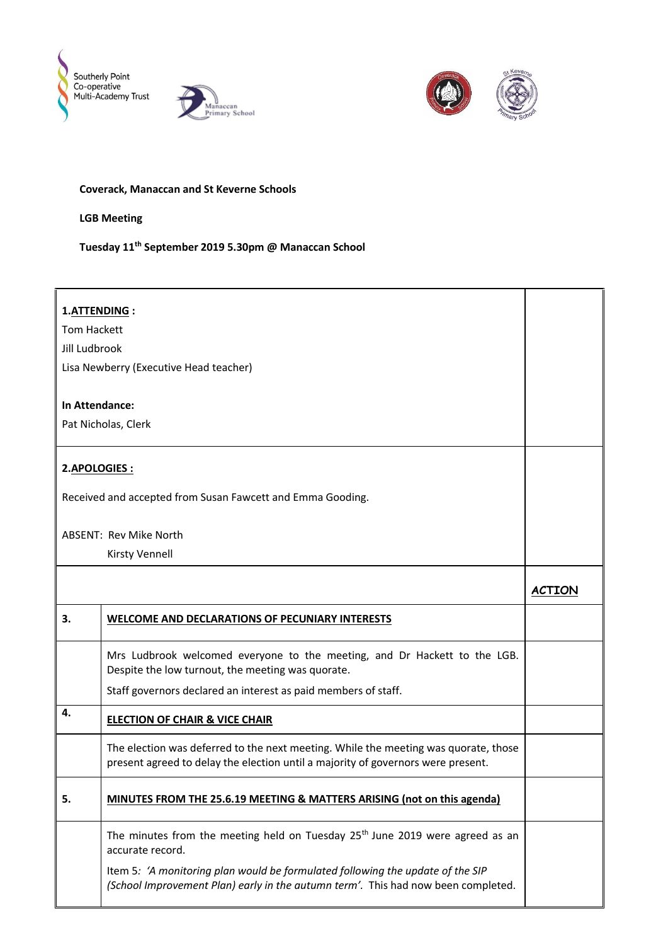





## **Coverack, Manaccan and St Keverne Schools**

## **LGB Meeting**

## **Tuesday 11th September 2019 5.30pm @ Manaccan School**

| 1.ATTENDING:                                               |                                                                                                                                                                         |               |  |
|------------------------------------------------------------|-------------------------------------------------------------------------------------------------------------------------------------------------------------------------|---------------|--|
| <b>Tom Hackett</b>                                         |                                                                                                                                                                         |               |  |
| Jill Ludbrook                                              |                                                                                                                                                                         |               |  |
| Lisa Newberry (Executive Head teacher)                     |                                                                                                                                                                         |               |  |
|                                                            |                                                                                                                                                                         |               |  |
| In Attendance:                                             |                                                                                                                                                                         |               |  |
| Pat Nicholas, Clerk                                        |                                                                                                                                                                         |               |  |
|                                                            |                                                                                                                                                                         |               |  |
| 2.APOLOGIES:                                               |                                                                                                                                                                         |               |  |
|                                                            |                                                                                                                                                                         |               |  |
| Received and accepted from Susan Fawcett and Emma Gooding. |                                                                                                                                                                         |               |  |
|                                                            |                                                                                                                                                                         |               |  |
| <b>ABSENT: Rev Mike North</b>                              |                                                                                                                                                                         |               |  |
|                                                            | <b>Kirsty Vennell</b>                                                                                                                                                   |               |  |
|                                                            |                                                                                                                                                                         | <b>ACTION</b> |  |
| 3.                                                         | WELCOME AND DECLARATIONS OF PECUNIARY INTERESTS                                                                                                                         |               |  |
|                                                            | Mrs Ludbrook welcomed everyone to the meeting, and Dr Hackett to the LGB.<br>Despite the low turnout, the meeting was quorate.                                          |               |  |
|                                                            | Staff governors declared an interest as paid members of staff.                                                                                                          |               |  |
| 4.                                                         | <b>ELECTION OF CHAIR &amp; VICE CHAIR</b>                                                                                                                               |               |  |
|                                                            | The election was deferred to the next meeting. While the meeting was quorate, those<br>present agreed to delay the election until a majority of governors were present. |               |  |
| 5.                                                         | MINUTES FROM THE 25.6.19 MEETING & MATTERS ARISING (not on this agenda)                                                                                                 |               |  |
|                                                            | The minutes from the meeting held on Tuesday 25 <sup>th</sup> June 2019 were agreed as an<br>accurate record.                                                           |               |  |
|                                                            | Item 5: 'A monitoring plan would be formulated following the update of the SIP<br>(School Improvement Plan) early in the autumn term'. This had now been completed.     |               |  |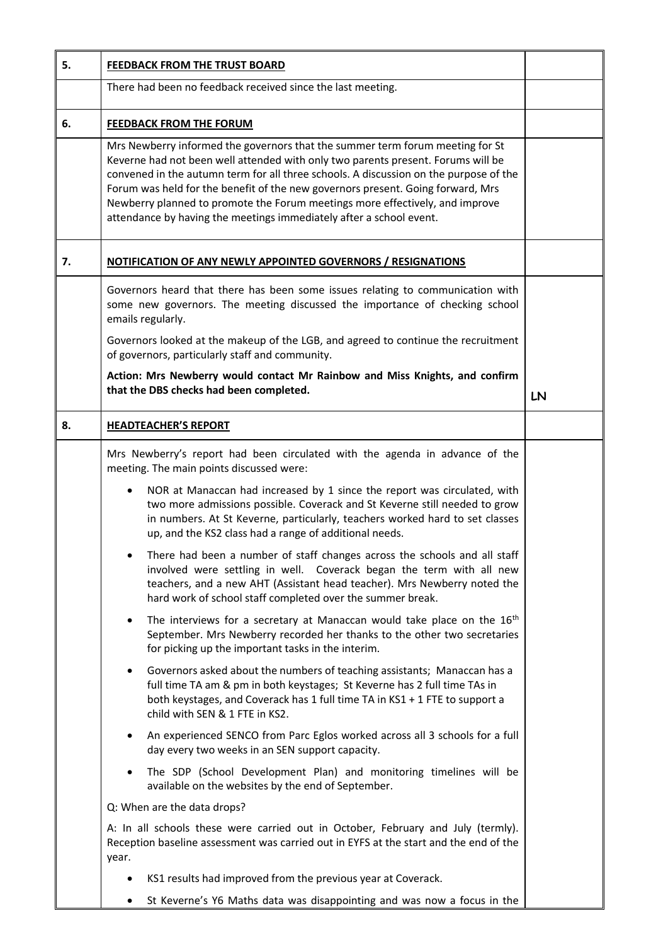| 5. | FEEDBACK FROM THE TRUST BOARD                                                                                                                                                                                                                                                                                                                                                                                                                                                                        |    |
|----|------------------------------------------------------------------------------------------------------------------------------------------------------------------------------------------------------------------------------------------------------------------------------------------------------------------------------------------------------------------------------------------------------------------------------------------------------------------------------------------------------|----|
|    | There had been no feedback received since the last meeting.                                                                                                                                                                                                                                                                                                                                                                                                                                          |    |
| 6. | <b>FEEDBACK FROM THE FORUM</b>                                                                                                                                                                                                                                                                                                                                                                                                                                                                       |    |
|    | Mrs Newberry informed the governors that the summer term forum meeting for St<br>Keverne had not been well attended with only two parents present. Forums will be<br>convened in the autumn term for all three schools. A discussion on the purpose of the<br>Forum was held for the benefit of the new governors present. Going forward, Mrs<br>Newberry planned to promote the Forum meetings more effectively, and improve<br>attendance by having the meetings immediately after a school event. |    |
| 7. | <b>NOTIFICATION OF ANY NEWLY APPOINTED GOVERNORS / RESIGNATIONS</b>                                                                                                                                                                                                                                                                                                                                                                                                                                  |    |
|    | Governors heard that there has been some issues relating to communication with<br>some new governors. The meeting discussed the importance of checking school<br>emails regularly.<br>Governors looked at the makeup of the LGB, and agreed to continue the recruitment                                                                                                                                                                                                                              |    |
|    | of governors, particularly staff and community.                                                                                                                                                                                                                                                                                                                                                                                                                                                      |    |
|    | Action: Mrs Newberry would contact Mr Rainbow and Miss Knights, and confirm<br>that the DBS checks had been completed.                                                                                                                                                                                                                                                                                                                                                                               |    |
|    |                                                                                                                                                                                                                                                                                                                                                                                                                                                                                                      | LN |
| 8. | <b>HEADTEACHER'S REPORT</b>                                                                                                                                                                                                                                                                                                                                                                                                                                                                          |    |
|    | Mrs Newberry's report had been circulated with the agenda in advance of the<br>meeting. The main points discussed were:                                                                                                                                                                                                                                                                                                                                                                              |    |
|    | NOR at Manaccan had increased by 1 since the report was circulated, with<br>two more admissions possible. Coverack and St Keverne still needed to grow<br>in numbers. At St Keverne, particularly, teachers worked hard to set classes<br>up, and the KS2 class had a range of additional needs.                                                                                                                                                                                                     |    |
|    | There had been a number of staff changes across the schools and all staff<br>involved were settling in well. Coverack began the term with all new<br>teachers, and a new AHT (Assistant head teacher). Mrs Newberry noted the<br>hard work of school staff completed over the summer break.                                                                                                                                                                                                          |    |
|    | The interviews for a secretary at Manaccan would take place on the 16 <sup>th</sup><br>$\bullet$<br>September. Mrs Newberry recorded her thanks to the other two secretaries<br>for picking up the important tasks in the interim.                                                                                                                                                                                                                                                                   |    |
|    | Governors asked about the numbers of teaching assistants; Manaccan has a<br>full time TA am & pm in both keystages; St Keverne has 2 full time TAs in<br>both keystages, and Coverack has 1 full time TA in KS1 + 1 FTE to support a<br>child with SEN & 1 FTE in KS2.                                                                                                                                                                                                                               |    |
|    | An experienced SENCO from Parc Eglos worked across all 3 schools for a full<br>$\bullet$<br>day every two weeks in an SEN support capacity.                                                                                                                                                                                                                                                                                                                                                          |    |
|    | The SDP (School Development Plan) and monitoring timelines will be<br>available on the websites by the end of September.                                                                                                                                                                                                                                                                                                                                                                             |    |
|    | Q: When are the data drops?                                                                                                                                                                                                                                                                                                                                                                                                                                                                          |    |
|    | A: In all schools these were carried out in October, February and July (termly).<br>Reception baseline assessment was carried out in EYFS at the start and the end of the<br>year.                                                                                                                                                                                                                                                                                                                   |    |
|    | KS1 results had improved from the previous year at Coverack.                                                                                                                                                                                                                                                                                                                                                                                                                                         |    |
|    | St Keverne's Y6 Maths data was disappointing and was now a focus in the<br>٠                                                                                                                                                                                                                                                                                                                                                                                                                         |    |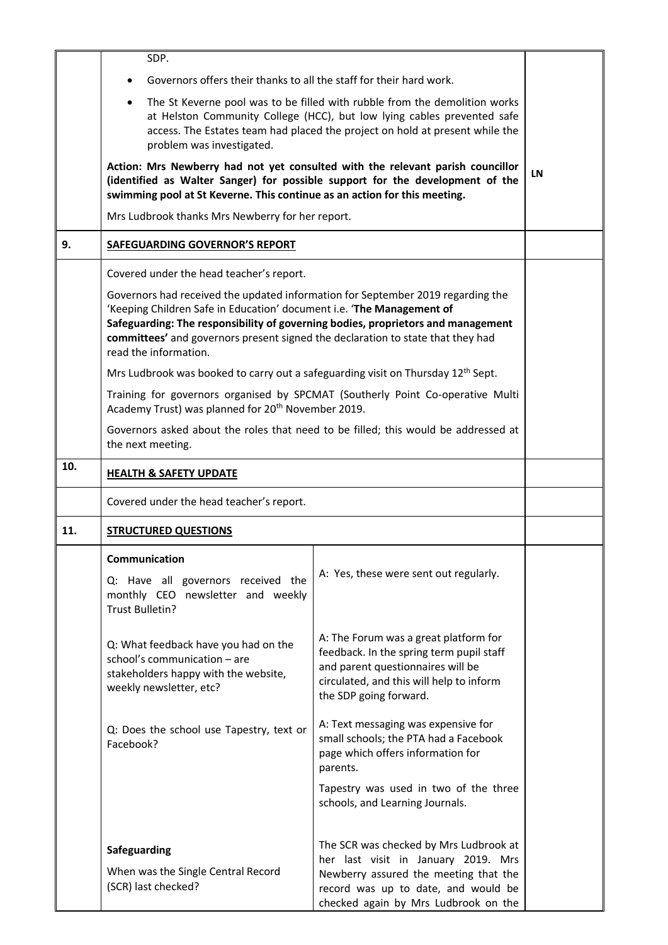|     | SDP.                                                                                                                                                                                                                                                                                                                                                     |                                                                                                                                                                                                       |  |
|-----|----------------------------------------------------------------------------------------------------------------------------------------------------------------------------------------------------------------------------------------------------------------------------------------------------------------------------------------------------------|-------------------------------------------------------------------------------------------------------------------------------------------------------------------------------------------------------|--|
|     | Governors offers their thanks to all the staff for their hard work.                                                                                                                                                                                                                                                                                      |                                                                                                                                                                                                       |  |
|     | The St Keverne pool was to be filled with rubble from the demolition works<br>$\bullet$<br>at Helston Community College (HCC), but low lying cables prevented safe<br>access. The Estates team had placed the project on hold at present while the<br>problem was investigated.                                                                          |                                                                                                                                                                                                       |  |
|     | Action: Mrs Newberry had not yet consulted with the relevant parish councillor<br>(identified as Walter Sanger) for possible support for the development of the<br>swimming pool at St Keverne. This continue as an action for this meeting.                                                                                                             | LN                                                                                                                                                                                                    |  |
|     | Mrs Ludbrook thanks Mrs Newberry for her report.                                                                                                                                                                                                                                                                                                         |                                                                                                                                                                                                       |  |
| 9.  | SAFEGUARDING GOVERNOR'S REPORT                                                                                                                                                                                                                                                                                                                           |                                                                                                                                                                                                       |  |
|     | Covered under the head teacher's report.                                                                                                                                                                                                                                                                                                                 |                                                                                                                                                                                                       |  |
|     | Governors had received the updated information for September 2019 regarding the<br>'Keeping Children Safe in Education' document i.e. 'The Management of<br>Safeguarding: The responsibility of governing bodies, proprietors and management<br>committees' and governors present signed the declaration to state that they had<br>read the information. |                                                                                                                                                                                                       |  |
|     | Mrs Ludbrook was booked to carry out a safeguarding visit on Thursday $12^{th}$ Sept.                                                                                                                                                                                                                                                                    |                                                                                                                                                                                                       |  |
|     | Training for governors organised by SPCMAT (Southerly Point Co-operative Multi<br>Academy Trust) was planned for 20 <sup>th</sup> November 2019.                                                                                                                                                                                                         |                                                                                                                                                                                                       |  |
|     | Governors asked about the roles that need to be filled; this would be addressed at<br>the next meeting.                                                                                                                                                                                                                                                  |                                                                                                                                                                                                       |  |
| 10. | <b>HEALTH &amp; SAFETY UPDATE</b>                                                                                                                                                                                                                                                                                                                        |                                                                                                                                                                                                       |  |
|     | Covered under the head teacher's report.                                                                                                                                                                                                                                                                                                                 |                                                                                                                                                                                                       |  |
| 11. | <b>STRUCTURED QUESTIONS</b>                                                                                                                                                                                                                                                                                                                              |                                                                                                                                                                                                       |  |
|     | <b>Communication</b><br>Q: Have all governors received the<br>monthly CEO newsletter and weekly<br>Trust Bulletin?                                                                                                                                                                                                                                       | A: Yes, these were sent out regularly.                                                                                                                                                                |  |
|     | Q: What feedback have you had on the<br>school's communication - are<br>stakeholders happy with the website,<br>weekly newsletter, etc?                                                                                                                                                                                                                  | A: The Forum was a great platform for<br>feedback. In the spring term pupil staff<br>and parent questionnaires will be<br>circulated, and this will help to inform<br>the SDP going forward.          |  |
|     | Q: Does the school use Tapestry, text or<br>Facebook?                                                                                                                                                                                                                                                                                                    | A: Text messaging was expensive for<br>small schools; the PTA had a Facebook<br>page which offers information for<br>parents.                                                                         |  |
|     |                                                                                                                                                                                                                                                                                                                                                          | Tapestry was used in two of the three<br>schools, and Learning Journals.                                                                                                                              |  |
|     | Safeguarding<br>When was the Single Central Record<br>(SCR) last checked?                                                                                                                                                                                                                                                                                | The SCR was checked by Mrs Ludbrook at<br>her last visit in January 2019. Mrs<br>Newberry assured the meeting that the<br>record was up to date, and would be<br>checked again by Mrs Ludbrook on the |  |